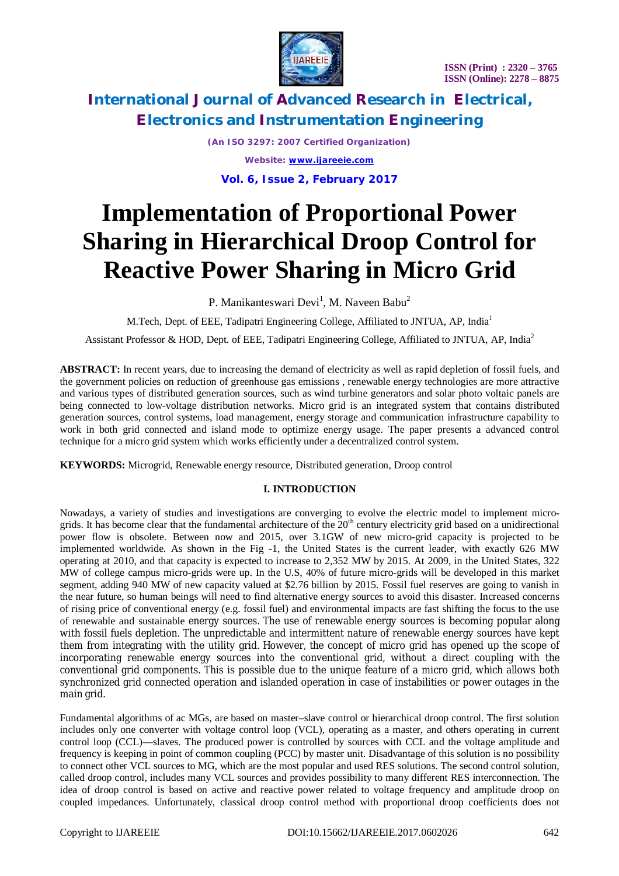

*(An ISO 3297: 2007 Certified Organization) Website: [www.ijareeie.com](http://www.ijareeie.com)*

**Vol. 6, Issue 2, February 2017**

# **Implementation of Proportional Power Sharing in Hierarchical Droop Control for Reactive Power Sharing in Micro Grid**

P. Manikanteswari Devi<sup>1</sup>, M. Naveen Babu<sup>2</sup>

M.Tech, Dept. of EEE, Tadipatri Engineering College, Affiliated to JNTUA, AP, India<sup>1</sup>

Assistant Professor & HOD, Dept. of EEE, Tadipatri Engineering College, Affiliated to JNTUA, AP, India<sup>2</sup>

**ABSTRACT:** In recent years, due to increasing the demand of electricity as well as rapid depletion of fossil fuels, and the government policies on reduction of greenhouse gas emissions , renewable energy technologies are more attractive and various types of distributed generation sources, such as wind turbine generators and solar photo voltaic panels are being connected to low-voltage distribution networks. Micro grid is an integrated system that contains distributed generation sources, control systems, load management, energy storage and communication infrastructure capability to work in both grid connected and island mode to optimize energy usage. The paper presents a advanced control technique for a micro grid system which works efficiently under a decentralized control system.

**KEYWORDS:** Microgrid, Renewable energy resource, Distributed generation, Droop control

## **I. INTRODUCTION**

Nowadays, a variety of studies and investigations are converging to evolve the electric model to implement microgrids. It has become clear that the fundamental architecture of the  $20<sup>th</sup>$  century electricity grid based on a unidirectional power flow is obsolete. Between now and 2015, over 3.1GW of new micro-grid capacity is projected to be implemented worldwide. As shown in the Fig -1, the United States is the current leader, with exactly 626 MW operating at 2010, and that capacity is expected to increase to 2,352 MW by 2015. At 2009, in the United States, 322 MW of college campus micro-grids were up. In the U.S, 40% of future micro-grids will be developed in this market segment, adding 940 MW of new capacity valued at \$2.76 billion by 2015. Fossil fuel reserves are going to vanish in the near future, so human beings will need to find alternative energy sources to avoid this disaster. Increased concerns of rising price of conventional energy (e.g. fossil fuel) and environmental impacts are fast shifting the focus to the use of renewable and sustainable energy sources. The use of renewable energy sources is becoming popular along with fossil fuels depletion. The unpredictable and intermittent nature of renewable energy sources have kept them from integrating with the utility grid. However, the concept of micro grid has opened up the scope of incorporating renewable energy sources into the conventional grid, without a direct coupling with the conventional grid components. This is possible due to the unique feature of a micro grid, which allows both synchronized grid connected operation and islanded operation in case of instabilities or power outages in the main grid.

Fundamental algorithms of ac MGs, are based on master–slave control or hierarchical droop control. The first solution includes only one converter with voltage control loop (VCL), operating as a master, and others operating in current control loop (CCL)—slaves. The produced power is controlled by sources with CCL and the voltage amplitude and frequency is keeping in point of common coupling (PCC) by master unit. Disadvantage of this solution is no possibility to connect other VCL sources to MG, which are the most popular and used RES solutions. The second control solution, called droop control, includes many VCL sources and provides possibility to many different RES interconnection. The idea of droop control is based on active and reactive power related to voltage frequency and amplitude droop on coupled impedances. Unfortunately, classical droop control method with proportional droop coefficients does not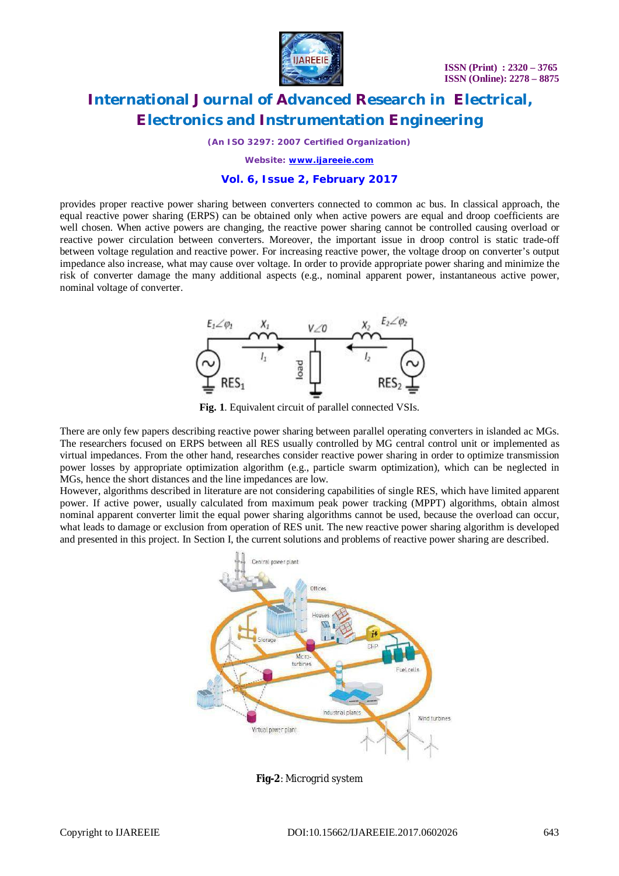

*(An ISO 3297: 2007 Certified Organization)*

*Website: [www.ijareeie.com](http://www.ijareeie.com)*

### **Vol. 6, Issue 2, February 2017**

provides proper reactive power sharing between converters connected to common ac bus. In classical approach, the equal reactive power sharing (ERPS) can be obtained only when active powers are equal and droop coefficients are well chosen. When active powers are changing, the reactive power sharing cannot be controlled causing overload or reactive power circulation between converters. Moreover, the important issue in droop control is static trade-off between voltage regulation and reactive power. For increasing reactive power, the voltage droop on converter's output impedance also increase, what may cause over voltage. In order to provide appropriate power sharing and minimize the risk of converter damage the many additional aspects (e.g., nominal apparent power, instantaneous active power, nominal voltage of converter.



**Fig. 1**. Equivalent circuit of parallel connected VSIs.

There are only few papers describing reactive power sharing between parallel operating converters in islanded ac MGs. The researchers focused on ERPS between all RES usually controlled by MG central control unit or implemented as virtual impedances. From the other hand, researches consider reactive power sharing in order to optimize transmission power losses by appropriate optimization algorithm (e.g., particle swarm optimization), which can be neglected in MGs, hence the short distances and the line impedances are low.

However, algorithms described in literature are not considering capabilities of single RES, which have limited apparent power. If active power, usually calculated from maximum peak power tracking (MPPT) algorithms, obtain almost nominal apparent converter limit the equal power sharing algorithms cannot be used, because the overload can occur, what leads to damage or exclusion from operation of RES unit. The new reactive power sharing algorithm is developed and presented in this project. In Section I, the current solutions and problems of reactive power sharing are described.



**Fig-2**: Microgrid system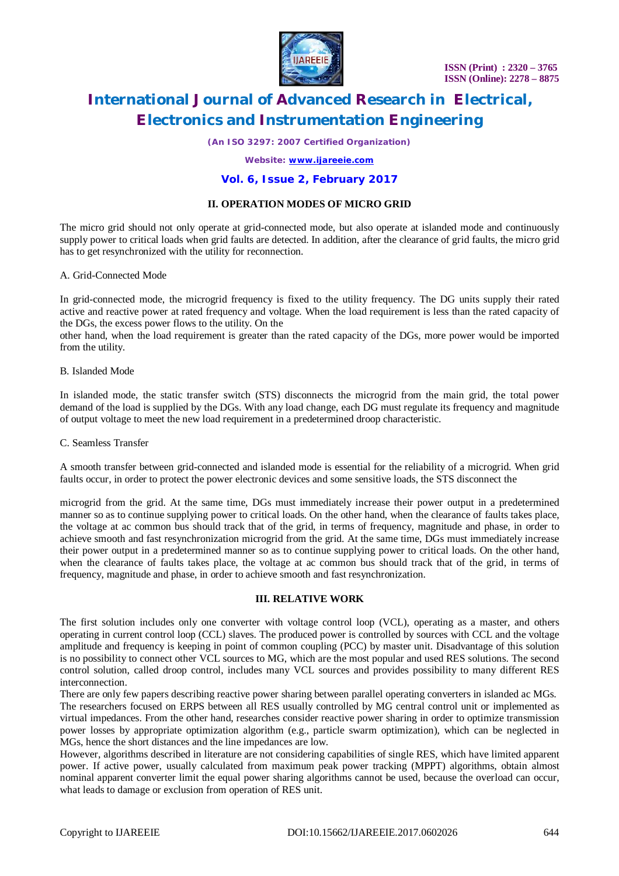

*(An ISO 3297: 2007 Certified Organization)*

### *Website: [www.ijareeie.com](http://www.ijareeie.com)*

### **Vol. 6, Issue 2, February 2017**

### **II. OPERATION MODES OF MICRO GRID**

The micro grid should not only operate at grid-connected mode, but also operate at islanded mode and continuously supply power to critical loads when grid faults are detected. In addition, after the clearance of grid faults, the micro grid has to get resynchronized with the utility for reconnection.

### A. Grid-Connected Mode

In grid-connected mode, the microgrid frequency is fixed to the utility frequency. The DG units supply their rated active and reactive power at rated frequency and voltage. When the load requirement is less than the rated capacity of the DGs, the excess power flows to the utility. On the

other hand, when the load requirement is greater than the rated capacity of the DGs, more power would be imported from the utility.

### B. Islanded Mode

In islanded mode, the static transfer switch (STS) disconnects the microgrid from the main grid, the total power demand of the load is supplied by the DGs. With any load change, each DG must regulate its frequency and magnitude of output voltage to meet the new load requirement in a predetermined droop characteristic.

### C. Seamless Transfer

A smooth transfer between grid-connected and islanded mode is essential for the reliability of a microgrid. When grid faults occur, in order to protect the power electronic devices and some sensitive loads, the STS disconnect the

microgrid from the grid. At the same time, DGs must immediately increase their power output in a predetermined manner so as to continue supplying power to critical loads. On the other hand, when the clearance of faults takes place, the voltage at ac common bus should track that of the grid, in terms of frequency, magnitude and phase, in order to achieve smooth and fast resynchronization microgrid from the grid. At the same time, DGs must immediately increase their power output in a predetermined manner so as to continue supplying power to critical loads. On the other hand, when the clearance of faults takes place, the voltage at ac common bus should track that of the grid, in terms of frequency, magnitude and phase, in order to achieve smooth and fast resynchronization.

### **III. RELATIVE WORK**

The first solution includes only one converter with voltage control loop (VCL), operating as a master, and others operating in current control loop (CCL) slaves. The produced power is controlled by sources with CCL and the voltage amplitude and frequency is keeping in point of common coupling (PCC) by master unit. Disadvantage of this solution is no possibility to connect other VCL sources to MG, which are the most popular and used RES solutions. The second control solution, called droop control, includes many VCL sources and provides possibility to many different RES interconnection.

There are only few papers describing reactive power sharing between parallel operating converters in islanded ac MGs.

The researchers focused on ERPS between all RES usually controlled by MG central control unit or implemented as virtual impedances. From the other hand, researches consider reactive power sharing in order to optimize transmission power losses by appropriate optimization algorithm (e.g., particle swarm optimization), which can be neglected in MGs, hence the short distances and the line impedances are low.

However, algorithms described in literature are not considering capabilities of single RES, which have limited apparent power. If active power, usually calculated from maximum peak power tracking (MPPT) algorithms, obtain almost nominal apparent converter limit the equal power sharing algorithms cannot be used, because the overload can occur, what leads to damage or exclusion from operation of RES unit.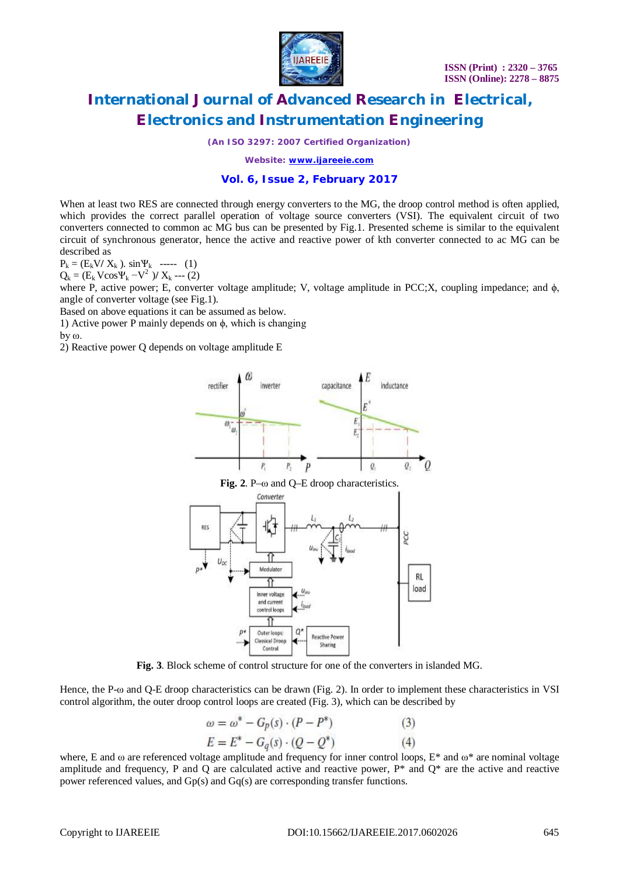

*(An ISO 3297: 2007 Certified Organization)*

*Website: [www.ijareeie.com](http://www.ijareeie.com)*

### **Vol. 6, Issue 2, February 2017**

When at least two RES are connected through energy converters to the MG, the droop control method is often applied, which provides the correct parallel operation of voltage source converters (VSI). The equivalent circuit of two converters connected to common ac MG bus can be presented by Fig.1. Presented scheme is similar to the equivalent circuit of synchronous generator, hence the active and reactive power of kth converter connected to ac MG can be described as

 $P_k = (E_k V / X_k)$ . sin  $\Psi_k$  ----- (1)

 $Q_k = (E_k V \cos V_k - V^2) / X_k$  --- (2)

where P, active power; E, converter voltage amplitude; V, voltage amplitude in PCC;X, coupling impedance; and  $\phi$ , angle of converter voltage (see Fig.1).

Based on above equations it can be assumed as below.

1) Active power P mainly depends on  $φ$ , which is changing

by ω.

2) Reactive power Q depends on voltage amplitude E



**Fig. 3**. Block scheme of control structure for one of the converters in islanded MG.

**Reactive Power** 

Sharing

 $\mathcal{Q}^{\prime}$ 

Outer loops:

Classical Droop

Control

p

Hence, the P-ω and O-E droop characteristics can be drawn (Fig. 2). In order to implement these characteristics in VSI control algorithm, the outer droop control loops are created (Fig. 3), which can be described by

$$
\omega = \omega^* - G_p(s) \cdot (P - P^*)
$$
  
(3)  

$$
E = E^* - G_q(s) \cdot (Q - Q^*)
$$
  
(4)

where, E and  $\omega$  are referenced voltage amplitude and frequency for inner control loops,  $E^*$  and  $\omega^*$  are nominal voltage amplitude and frequency, P and Q are calculated active and reactive power,  $P^*$  and  $Q^*$  are the active and reactive power referenced values, and Gp(s) and Gq(s) are corresponding transfer functions.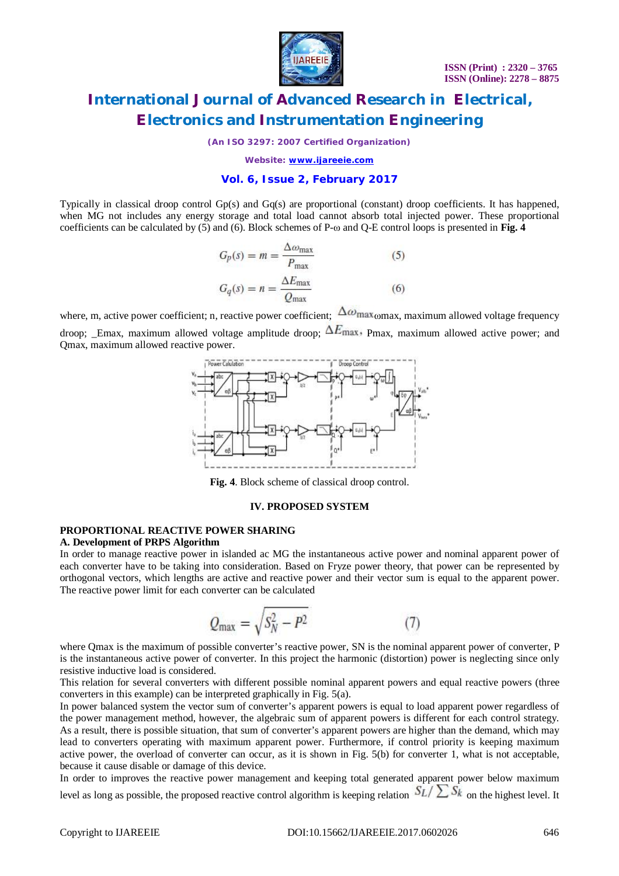

*(An ISO 3297: 2007 Certified Organization)*

*Website: [www.ijareeie.com](http://www.ijareeie.com)*

### **Vol. 6, Issue 2, February 2017**

Typically in classical droop control Gp(s) and Gq(s) are proportional (constant) droop coefficients. It has happened, when MG not includes any energy storage and total load cannot absorb total injected power. These proportional coefficients can be calculated by (5) and (6). Block schemes of P-ω and Q-E control loops is presented in **Fig. 4**

$$
G_p(s) = m = \frac{\Delta \omega_{\text{max}}}{P_{\text{max}}} \tag{5}
$$

$$
G_q(s) = n = \frac{\Delta E_{\text{max}}}{Q_{\text{max}}} \tag{6}
$$

where, m, active power coefficient; n, reactive power coefficient;  $\Delta\omega_{\text{max}}$  max maximum allowed voltage frequency droop: Emax, maximum allowed voltage amplitude droop;  $\Delta E_{\text{max}}$ , Pmax, maximum allowed active power; and Qmax, maximum allowed reactive power.



**Fig. 4**. Block scheme of classical droop control.

### **IV. PROPOSED SYSTEM**

### **PROPORTIONAL REACTIVE POWER SHARING**

### **A. Development of PRPS Algorithm**

In order to manage reactive power in islanded ac MG the instantaneous active power and nominal apparent power of each converter have to be taking into consideration. Based on Fryze power theory, that power can be represented by orthogonal vectors, which lengths are active and reactive power and their vector sum is equal to the apparent power. The reactive power limit for each converter can be calculated

$$
Q_{\text{max}} = \sqrt{S_N^2 - P^2} \tag{7}
$$

where Qmax is the maximum of possible converter's reactive power, SN is the nominal apparent power of converter, P is the instantaneous active power of converter. In this project the harmonic (distortion) power is neglecting since only resistive inductive load is considered.

This relation for several converters with different possible nominal apparent powers and equal reactive powers (three converters in this example) can be interpreted graphically in Fig. 5(a).

In power balanced system the vector sum of converter's apparent powers is equal to load apparent power regardless of the power management method, however, the algebraic sum of apparent powers is different for each control strategy. As a result, there is possible situation, that sum of converter's apparent powers are higher than the demand, which may lead to converters operating with maximum apparent power. Furthermore, if control priority is keeping maximum active power, the overload of converter can occur, as it is shown in Fig. 5(b) for converter 1, what is not acceptable, because it cause disable or damage of this device.

In order to improves the reactive power management and keeping total generated apparent power below maximum level as long as possible, the proposed reactive control algorithm is keeping relation  $S_L / \sum S_k$  on the highest level. It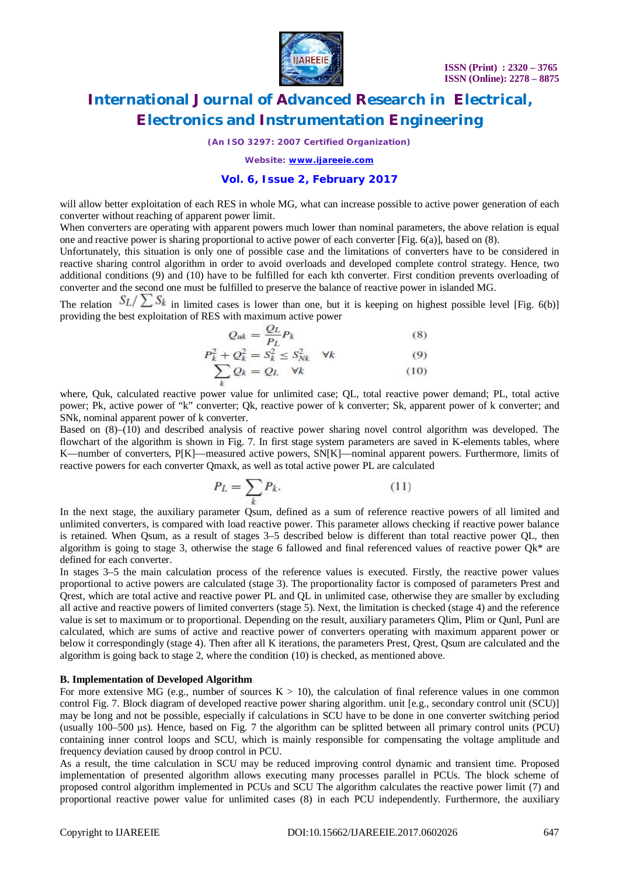

*(An ISO 3297: 2007 Certified Organization)*

*Website: [www.ijareeie.com](http://www.ijareeie.com)*

### **Vol. 6, Issue 2, February 2017**

will allow better exploitation of each RES in whole MG, what can increase possible to active power generation of each converter without reaching of apparent power limit.

When converters are operating with apparent powers much lower than nominal parameters, the above relation is equal one and reactive power is sharing proportional to active power of each converter [Fig. 6(a)], based on (8).

Unfortunately, this situation is only one of possible case and the limitations of converters have to be considered in reactive sharing control algorithm in order to avoid overloads and developed complete control strategy. Hence, two additional conditions (9) and (10) have to be fulfilled for each kth converter. First condition prevents overloading of converter and the second one must be fulfilled to preserve the balance of reactive power in islanded MG.

The relation  $S_L / \sum S_k$  in limited cases is lower than one, but it is keeping on highest possible level [Fig. 6(b)] providing the best exploitation of RES with maximum active power

$$
Q_{uk} = \frac{Q_L}{P_L} P_k \tag{8}
$$

$$
P_k^2 + Q_k^2 = S_k^2 \le S_{Nk}^2 \quad \forall k
$$
\n
$$
\sum Q_k = Q_L \quad \forall k
$$
\n(9)

where, Ouk, calculated reactive power value for unlimited case; OL, total reactive power demand; PL, total active power; Pk, active power of "k" converter; Qk, reactive power of k converter; Sk, apparent power of k converter; and SNk, nominal apparent power of k converter.

Based on (8)–(10) and described analysis of reactive power sharing novel control algorithm was developed. The flowchart of the algorithm is shown in Fig. 7. In first stage system parameters are saved in K-elements tables, where K—number of converters, P[K]—measured active powers, SN[K]—nominal apparent powers. Furthermore, limits of reactive powers for each converter Qmaxk, as well as total active power PL are calculated

$$
P_L = \sum_k P_k. \tag{11}
$$

In the next stage, the auxiliary parameter Qsum, defined as a sum of reference reactive powers of all limited and unlimited converters, is compared with load reactive power. This parameter allows checking if reactive power balance is retained. When Qsum, as a result of stages 3–5 described below is different than total reactive power QL, then algorithm is going to stage 3, otherwise the stage 6 fallowed and final referenced values of reactive power  $Qk^*$  are defined for each converter.

In stages 3–5 the main calculation process of the reference values is executed. Firstly, the reactive power values proportional to active powers are calculated (stage 3). The proportionality factor is composed of parameters Prest and Qrest, which are total active and reactive power PL and QL in unlimited case, otherwise they are smaller by excluding all active and reactive powers of limited converters (stage 5). Next, the limitation is checked (stage 4) and the reference value is set to maximum or to proportional. Depending on the result, auxiliary parameters Qlim, Plim or Qunl, Punl are calculated, which are sums of active and reactive power of converters operating with maximum apparent power or below it correspondingly (stage 4). Then after all K iterations, the parameters Prest, Qrest, Qsum are calculated and the algorithm is going back to stage 2, where the condition (10) is checked, as mentioned above.

### **B. Implementation of Developed Algorithm**

For more extensive MG (e.g., number of sources  $K > 10$ ), the calculation of final reference values in one common control Fig. 7. Block diagram of developed reactive power sharing algorithm. unit [e.g., secondary control unit (SCU)] may be long and not be possible, especially if calculations in SCU have to be done in one converter switching period (usually 100–500 μs). Hence, based on Fig. 7 the algorithm can be splitted between all primary control units (PCU) containing inner control loops and SCU, which is mainly responsible for compensating the voltage amplitude and frequency deviation caused by droop control in PCU.

As a result, the time calculation in SCU may be reduced improving control dynamic and transient time. Proposed implementation of presented algorithm allows executing many processes parallel in PCUs. The block scheme of proposed control algorithm implemented in PCUs and SCU The algorithm calculates the reactive power limit (7) and proportional reactive power value for unlimited cases (8) in each PCU independently. Furthermore, the auxiliary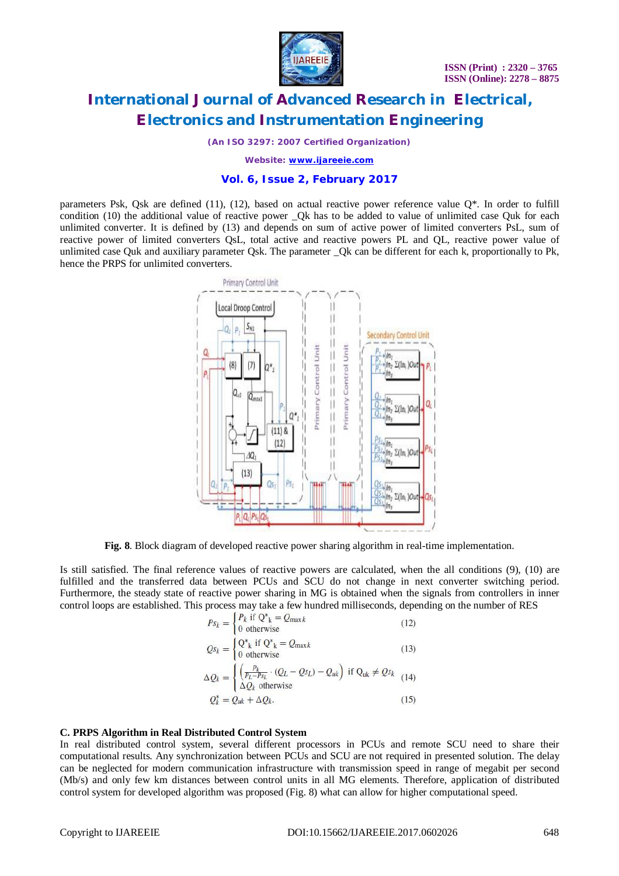

*(An ISO 3297: 2007 Certified Organization)*

*Website: [www.ijareeie.com](http://www.ijareeie.com)*

### **Vol. 6, Issue 2, February 2017**

parameters Psk, Qsk are defined (11), (12), based on actual reactive power reference value  $Q^*$ . In order to fulfill condition (10) the additional value of reactive power \_Qk has to be added to value of unlimited case Quk for each unlimited converter. It is defined by (13) and depends on sum of active power of limited converters PsL, sum of reactive power of limited converters QsL, total active and reactive powers PL and QL, reactive power value of unlimited case Quk and auxiliary parameter Qsk. The parameter \_Qk can be different for each k, proportionally to Pk, hence the PRPS for unlimited converters.



**Fig. 8**. Block diagram of developed reactive power sharing algorithm in real-time implementation.

Is still satisfied. The final reference values of reactive powers are calculated, when the all conditions (9), (10) are fulfilled and the transferred data between PCUs and SCU do not change in next converter switching period. Furthermore, the steady state of reactive power sharing in MG is obtained when the signals from controllers in inner control loops are established. This process may take a few hundred milliseconds, depending on the number of RES

$$
P_{S_k} = \begin{cases} P_k \text{ if } Q^*_{k} = Q_{\text{max }k} \\ 0 \text{ otherwise} \end{cases}
$$
(12)  
\n
$$
Q_{S_k} = \begin{cases} Q^*_{k} \text{ if } Q^*_{k} = Q_{\text{max }k} \\ 0 \text{ otherwise} \end{cases}
$$
(13)  
\n
$$
\Delta Q_k = \begin{cases} \left( \frac{P_k}{P_L - P_{S_L}} \cdot (Q_L - Q_{S_L}) - Q_{uk} \right) \text{ if } Q_{uk} \neq Q_{S_k} \\ \Delta Q_k \text{ otherwise} \end{cases}
$$
(14)  
\n
$$
Q_k^* = Q_{uk} + \Delta Q_k.
$$
(15)

### **C. PRPS Algorithm in Real Distributed Control System**

In real distributed control system, several different processors in PCUs and remote SCU need to share their computational results. Any synchronization between PCUs and SCU are not required in presented solution. The delay can be neglected for modern communication infrastructure with transmission speed in range of megabit per second (Mb/s) and only few km distances between control units in all MG elements. Therefore, application of distributed control system for developed algorithm was proposed (Fig. 8) what can allow for higher computational speed.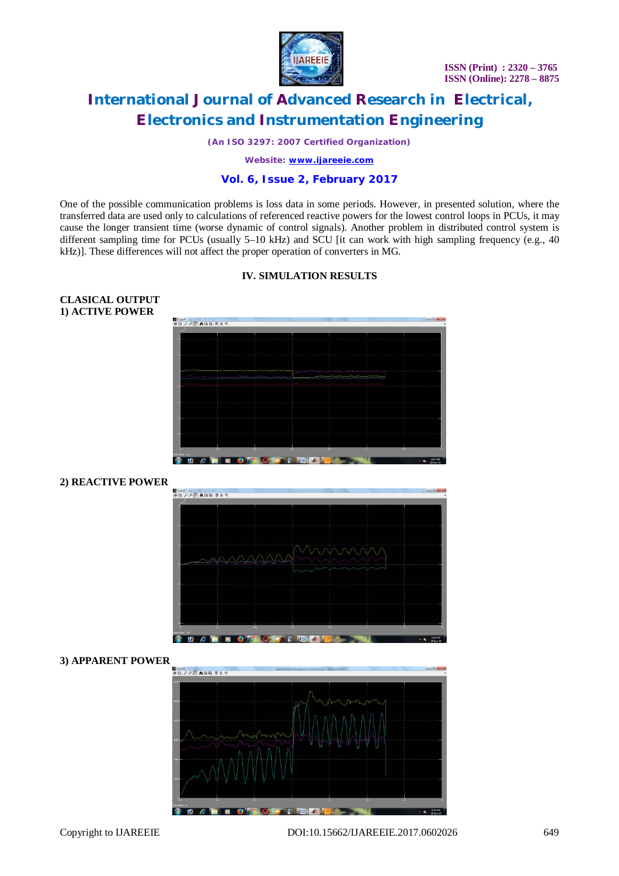

*(An ISO 3297: 2007 Certified Organization)*

*Website: [www.ijareeie.com](http://www.ijareeie.com)*

### **Vol. 6, Issue 2, February 2017**

One of the possible communication problems is loss data in some periods. However, in presented solution, where the transferred data are used only to calculations of referenced reactive powers for the lowest control loops in PCUs, it may cause the longer transient time (worse dynamic of control signals). Another problem in distributed control system is different sampling time for PCUs (usually 5–10 kHz) and SCU [it can work with high sampling frequency (e.g., 40 kHz)]. These differences will not affect the proper operation of converters in MG.

### **IV. SIMULATION RESULTS**

# El Supet<br>공업 *P P I*P | A 대대 중요의

### **2) REACTIVE POWER**

**CLASICAL OUTPUT 1) ACTIVE POWER**



### **3) APPARENT POWER**

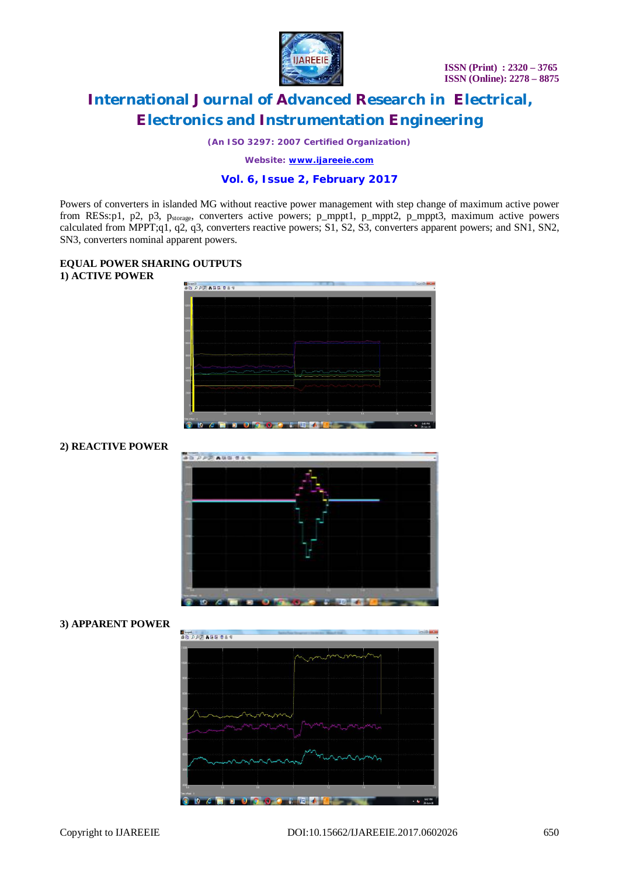

*(An ISO 3297: 2007 Certified Organization)*

*Website: [www.ijareeie.com](http://www.ijareeie.com)*

### **Vol. 6, Issue 2, February 2017**

Powers of converters in islanded MG without reactive power management with step change of maximum active power from RESs:p1, p2, p3, p<sub>storage</sub>, converters active powers; p\_mppt1, p\_mppt2, p\_mppt3, maximum active powers calculated from MPPT;q1, q2, q3, converters reactive powers; S1, S2, S3, converters apparent powers; and SN1, SN2, SN3, converters nominal apparent powers.

### **EQUAL POWER SHARING OUTPUTS 1) ACTIVE POWER**



### **2) REACTIVE POWER**



### **3) APPARENT POWER**

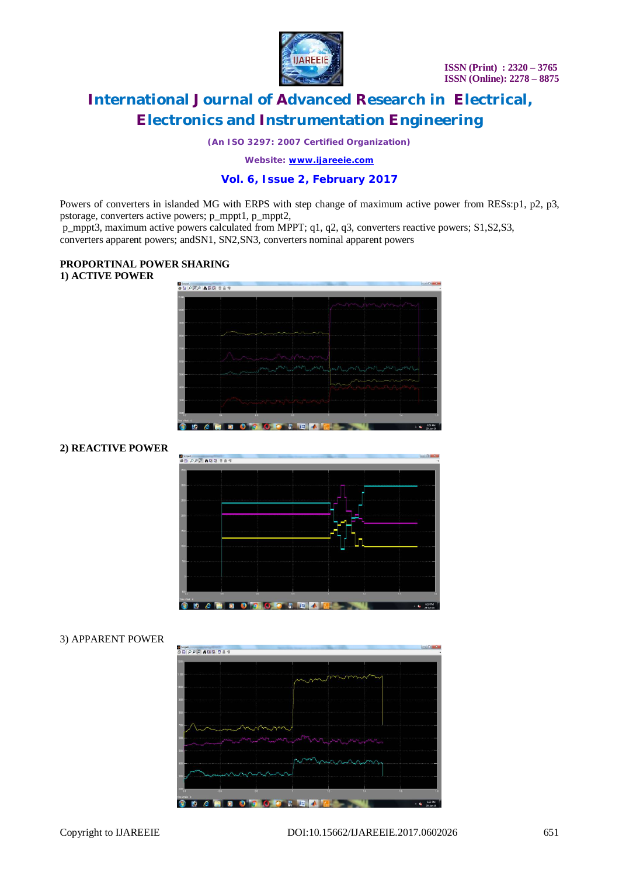

*(An ISO 3297: 2007 Certified Organization)*

*Website: [www.ijareeie.com](http://www.ijareeie.com)*

### **Vol. 6, Issue 2, February 2017**

Powers of converters in islanded MG with ERPS with step change of maximum active power from RESs:p1, p2, p3, pstorage, converters active powers; p\_mppt1, p\_mppt2,

p\_mppt3, maximum active powers calculated from MPPT; q1, q2, q3, converters reactive powers; S1,S2,S3, converters apparent powers; andSN1, SN2,SN3, converters nominal apparent powers

### **PROPORTINAL POWER SHARING 1) ACTIVE POWER**



## **2) REACTIVE POWER**



### 3) APPARENT POWER